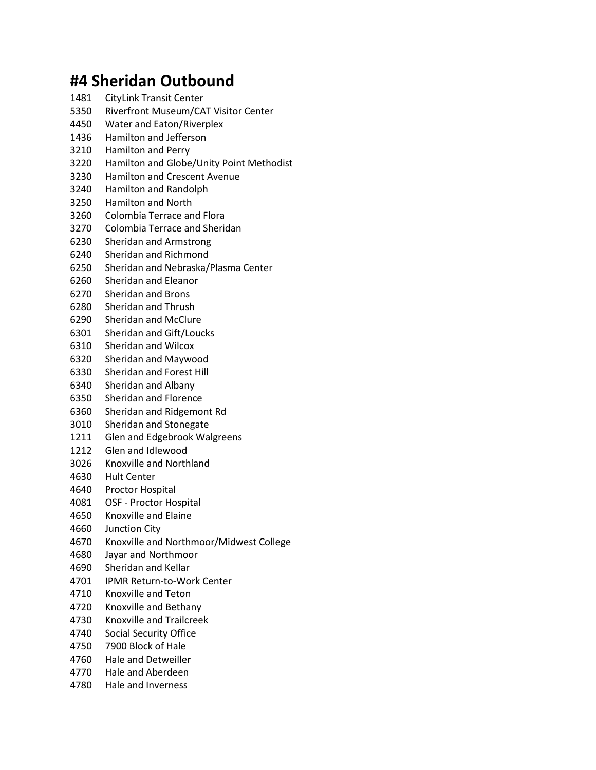## **#4 Sheridan Outbound**

- CityLink Transit Center
- Riverfront Museum/CAT Visitor Center
- Water and Eaton/Riverplex
- Hamilton and Jefferson
- Hamilton and Perry
- Hamilton and Globe/Unity Point Methodist
- Hamilton and Crescent Avenue
- Hamilton and Randolph
- Hamilton and North
- Colombia Terrace and Flora
- Colombia Terrace and Sheridan
- Sheridan and Armstrong
- Sheridan and Richmond
- Sheridan and Nebraska/Plasma Center
- Sheridan and Eleanor
- Sheridan and Brons
- Sheridan and Thrush
- Sheridan and McClure
- Sheridan and Gift/Loucks
- Sheridan and Wilcox
- Sheridan and Maywood
- Sheridan and Forest Hill
- Sheridan and Albany
- Sheridan and Florence
- Sheridan and Ridgemont Rd
- Sheridan and Stonegate
- Glen and Edgebrook Walgreens
- Glen and Idlewood
- Knoxville and Northland
- Hult Center
- Proctor Hospital
- OSF Proctor Hospital
- Knoxville and Elaine
- Junction City
- Knoxville and Northmoor/Midwest College
- Jayar and Northmoor
- Sheridan and Kellar
- IPMR Return-to-Work Center
- Knoxville and Teton
- Knoxville and Bethany
- Knoxville and Trailcreek
- Social Security Office
- 7900 Block of Hale
- Hale and Detweiller
- Hale and Aberdeen
- Hale and Inverness